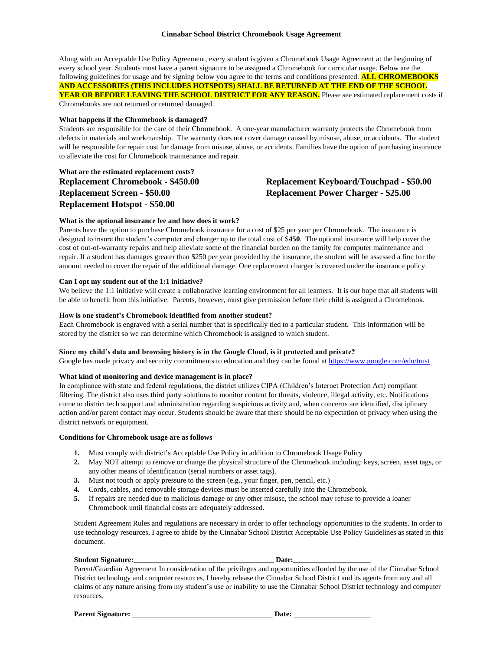#### **Cinnabar School District Chromebook Usage Agreement**

Along with an Acceptable Use Policy Agreement, every student is given a Chromebook Usage Agreement at the beginning of every school year. Students must have a parent signature to be assigned a Chromebook for curricular usage. Below are the following guidelines for usage and by signing below you agree to the terms and conditions presented. **ALL CHROMEBOOKS AND ACCESSORIES (THIS INCLUDES HOTSPOTS) SHALL BE RETURNED AT THE END OF THE SCHOOL YEAR OR BEFORE LEAVING THE SCHOOL DISTRICT FOR ANY REASON.** Please see estimated replacement costs if Chromebooks are not returned or returned damaged.

#### **What happens if the Chromebook is damaged?**

Students are responsible for the care of their Chromebook. A one-year manufacturer warranty protects the Chromebook from defects in materials and workmanship. The warranty does not cover damage caused by misuse, abuse, or accidents. The student will be responsible for repair cost for damage from misuse, abuse, or accidents. Families have the option of purchasing insurance to alleviate the cost for Chromebook maintenance and repair.

**What are the estimated replacement costs? Replacement Hotspot - \$50.00**

# **Replacement Chromebook - \$450.00 Replacement Keyboard/Touchpad - \$50.00 Replacement Screen - \$50.00 Replacement Power Charger - \$25.00**

#### **What is the optional insurance fee and how does it work?**

Parents have the option to purchase Chromebook insurance for a cost of \$25 per year per Chromebook. The insurance is designed to insure the student's computer and charger up to the total cost of \$**450**. The optional insurance will help cover the cost of out-of-warranty repairs and help alleviate some of the financial burden on the family for computer maintenance and repair. If a student has damages greater than \$250 per year provided by the insurance, the student will be assessed a fine for the amount needed to cover the repair of the additional damage. One replacement charger is covered under the insurance policy.

#### **Can I opt my student out of the 1:1 initiative?**

We believe the 1:1 initiative will create a collaborative learning environment for all learners. It is our hope that all students will be able to benefit from this initiative. Parents, however, must give permission before their child is assigned a Chromebook.

#### **How is one student's Chromebook identified from another student?**

Each Chromebook is engraved with a serial number that is specifically tied to a particular student. This information will be stored by the district so we can determine which Chromebook is assigned to which student.

#### **Since my child's data and browsing history is in the Google Cloud, is it protected and private?**

Google has made privacy and security commitments to education and they can be found at <https://www.google.com/edu/trust>

# **What kind of monitoring and device management is in place?**

In compliance with state and federal regulations, the district utilizes CIPA (Children's Internet Protection Act) compliant filtering. The district also uses third party solutions to monitor content for threats, violence, illegal activity, etc. Notifications come to district tech support and administration regarding suspicious activity and, when concerns are identified, disciplinary action and/or parent contact may occur. Students should be aware that there should be no expectation of privacy when using the district network or equipment.

#### **Conditions for Chromebook usage are as follows**

- **1.** Must comply with district's Acceptable Use Policy in addition to Chromebook Usage Policy
- **2.** May NOT attempt to remove or change the physical structure of the Chromebook including: keys, screen, asset tags, or any other means of identification (serial numbers or asset tags).
- **3.** Must not touch or apply pressure to the screen (e.g., your finger, pen, pencil, etc.)
- **4.** Cords, cables, and removable storage devices must be inserted carefully into the Chromebook.
- **5.** If repairs are needed due to malicious damage or any other misuse, the school may refuse to provide a loaner Chromebook until financial costs are adequately addressed.

Student Agreement Rules and regulations are necessary in order to offer technology opportunities to the students. In order to use technology resources, I agree to abide by the Cinnabar School District Acceptable Use Policy Guidelines as stated in this document.

# **Student Signature:** Date:

Parent/Guardian Agreement In consideration of the privileges and opportunities afforded by the use of the Cinnabar School District technology and computer resources, I hereby release the Cinnabar School District and its agents from any and all claims of any nature arising from my student's use or inability to use the Cinnabar School District technology and computer resources.

Parent Signature: **Example 20** Date: